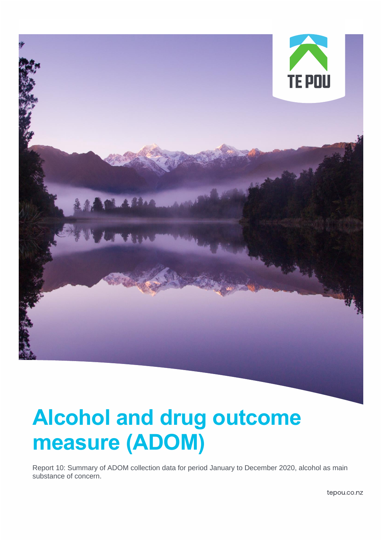

# **Alcohol and drug outcome measure (ADOM)**

Report 10: Summary of ADOM collection data for period January to December 2020, alcohol as main substance of concern.

tepou.co.nz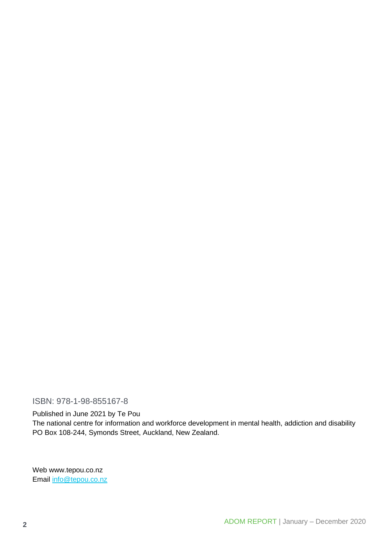ISBN: 978-1-98-855167-8

Published in June 2021 by Te Pou

The national centre for information and workforce development in mental health, addiction and disability PO Box 108-244, Symonds Street, Auckland, New Zealand.

Web www.tepou.co.nz Email [info@tepou.co.nz](mailto:info@tepou.co.nz)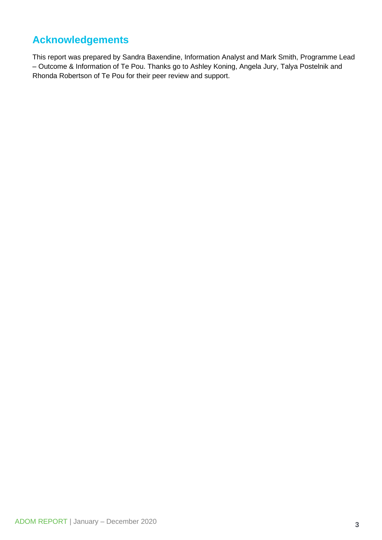### <span id="page-2-0"></span>**Acknowledgements**

This report was prepared by Sandra Baxendine, Information Analyst and Mark Smith, Programme Lead – Outcome & Information of Te Pou. Thanks go to Ashley Koning, Angela Jury, Talya Postelnik and Rhonda Robertson of Te Pou for their peer review and support.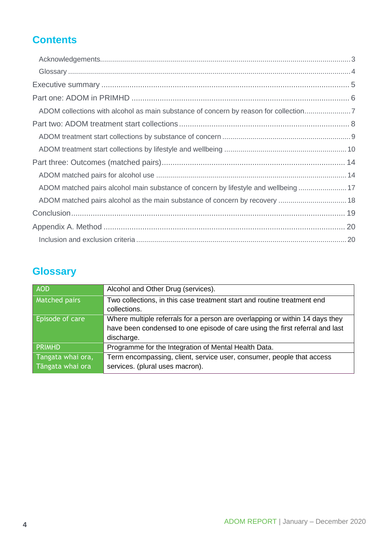## **Contents**

| ADOM collections with alcohol as main substance of concern by reason for collection |  |
|-------------------------------------------------------------------------------------|--|
|                                                                                     |  |
|                                                                                     |  |
|                                                                                     |  |
|                                                                                     |  |
|                                                                                     |  |
| ADOM matched pairs alcohol main substance of concern by lifestyle and wellbeing  17 |  |
| ADOM matched pairs alcohol as the main substance of concern by recovery  18         |  |
|                                                                                     |  |
|                                                                                     |  |
|                                                                                     |  |

## <span id="page-3-0"></span>**Glossary**

| <b>AOD</b>             | Alcohol and Other Drug (services).                                           |
|------------------------|------------------------------------------------------------------------------|
| <b>Matched pairs</b>   | Two collections, in this case treatment start and routine treatment end      |
|                        | collections.                                                                 |
| <b>Episode of care</b> | Where multiple referrals for a person are overlapping or within 14 days they |
|                        | have been condensed to one episode of care using the first referral and last |
|                        | discharge.                                                                   |
| <b>PRIMHD</b>          | Programme for the Integration of Mental Health Data.                         |
| Tangata whai ora,      | Term encompassing, client, service user, consumer, people that access        |
| Tāngata whai ora       | services. (plural uses macron).                                              |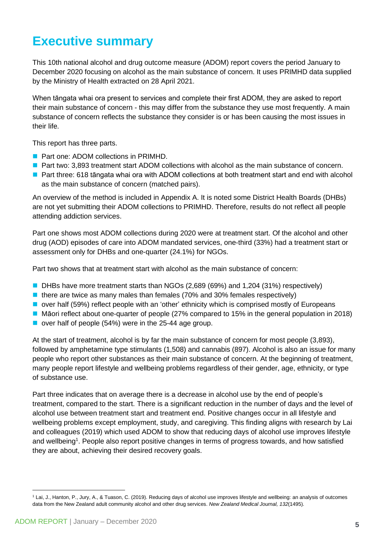## <span id="page-4-0"></span>**Executive summary**

This 10th national alcohol and drug outcome measure (ADOM) report covers the period January to December 2020 focusing on alcohol as the main substance of concern. It uses PRIMHD data supplied by the Ministry of Health extracted on 28 April 2021.

When tāngata whai ora present to services and complete their first ADOM, they are asked to report their main substance of concern - this may differ from the substance they use most frequently. A main substance of concern reflects the substance they consider is or has been causing the most issues in their life.

This report has three parts.

- Part one: ADOM collections in PRIMHD.
- Part two: 3,893 treatment start ADOM collections with alcohol as the main substance of concern.
- Part three: 618 tāngata whai ora with ADOM collections at both treatment start and end with alcohol as the main substance of concern (matched pairs).

An overview of the method is included in Appendix A. It is noted some District Health Boards (DHBs) are not yet submitting their ADOM collections to PRIMHD. Therefore, results do not reflect all people attending addiction services.

Part one shows most ADOM collections during 2020 were at treatment start. Of the alcohol and other drug (AOD) episodes of care into ADOM mandated services, one-third (33%) had a treatment start or assessment only for DHBs and one-quarter (24.1%) for NGOs.

Part two shows that at treatment start with alcohol as the main substance of concern:

- DHBs have more treatment starts than NGOs (2,689 (69%) and 1,204 (31%) respectively)
- there are twice as many males than females (70% and 30% females respectively)
- over half (59%) reflect people with an 'other' ethnicity which is comprised mostly of Europeans
- Māori reflect about one-quarter of people (27% compared to 15% in the general population in 2018)
- over half of people (54%) were in the 25-44 age group.

At the start of treatment, alcohol is by far the main substance of concern for most people (3,893), followed by amphetamine type stimulants (1,508) and cannabis (897). Alcohol is also an issue for many people who report other substances as their main substance of concern. At the beginning of treatment, many people report lifestyle and wellbeing problems regardless of their gender, age, ethnicity, or type of substance use.

Part three indicates that on average there is a decrease in alcohol use by the end of people's treatment, compared to the start. There is a significant reduction in the number of days and the level of alcohol use between treatment start and treatment end. Positive changes occur in all lifestyle and wellbeing problems except employment, study, and caregiving. This finding aligns with research by Lai and colleagues (2019) which used ADOM to show that reducing days of alcohol use improves lifestyle and wellbeing<sup>1</sup>. People also report positive changes in terms of progress towards, and how satisfied they are about, achieving their desired recovery goals.

<sup>1</sup> Lai, J., Hanton, P., Jury, A., & Tuason, C. (2019). Reducing days of alcohol use improves lifestyle and wellbeing: an analysis of outcomes data from the New Zealand adult community alcohol and other drug services. *New Zealand Medical Journal, 132*(1495).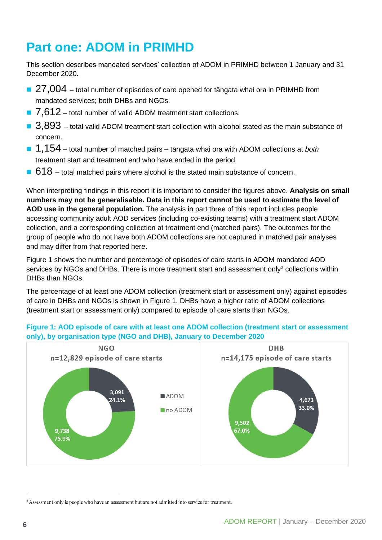## <span id="page-5-0"></span>**Part one: ADOM in PRIMHD**

This section describes mandated services' collection of ADOM in PRIMHD between 1 January and 31 December 2020.

- $\blacksquare$  27,004 total number of episodes of care opened for tāngata whai ora in PRIMHD from mandated services; both DHBs and NGOs.
- $\blacksquare$  7,612 total number of valid ADOM treatment start collections.
- 3,893 total valid ADOM treatment start collection with alcohol stated as the main substance of concern.
- 1,154 total number of matched pairs tāngata whai ora with ADOM collections at *both* treatment start and treatment end who have ended in the period.
- $\blacksquare$  618 total matched pairs where alcohol is the stated main substance of concern.

When interpreting findings in this report it is important to consider the figures above. **Analysis on small numbers may not be generalisable. Data in this report cannot be used to estimate the level of AOD use in the general population.** The analysis in part three of this report includes people accessing community adult AOD services (including co-existing teams) with a treatment start ADOM collection, and a corresponding collection at treatment end (matched pairs). The outcomes for the group of people who do not have both ADOM collections are not captured in matched pair analyses and may differ from that reported here.

Figure 1 shows the number and percentage of episodes of care starts in ADOM mandated AOD services by NGOs and DHBs. There is more treatment start and assessment only<sup>2</sup> collections within DHBs than NGOs.

The percentage of at least one ADOM collection (treatment start or assessment only) against episodes of care in DHBs and NGOs is shown in Figure 1. DHBs have a higher ratio of ADOM collections (treatment start or assessment only) compared to episode of care starts than NGOs.



#### **Figure 1: AOD episode of care with at least one ADOM collection (treatment start or assessment only), by organisation type (NGO and DHB), January to December 2020**

<sup>&</sup>lt;sup>2</sup> Assessment only is people who have an assessment but are not admitted into service for treatment.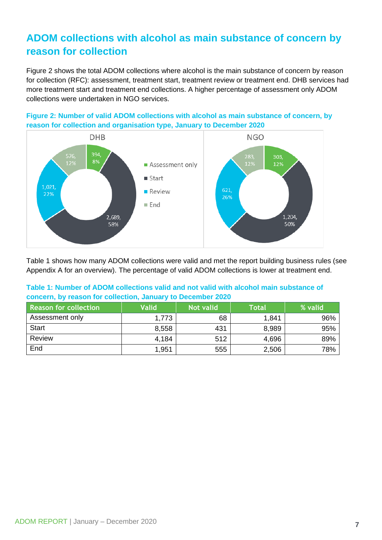## <span id="page-6-0"></span>**ADOM collections with alcohol as main substance of concern by reason for collection**

Figure 2 shows the total ADOM collections where alcohol is the main substance of concern by reason for collection (RFC): assessment, treatment start, treatment review or treatment end. DHB services had more treatment start and treatment end collections. A higher percentage of assessment only ADOM collections were undertaken in NGO services.





Table 1 shows how many ADOM collections were valid and met the report building business rules (see Appendix A for an overview). The percentage of valid ADOM collections is lower at treatment end.

#### **Table 1: Number of ADOM collections valid and not valid with alcohol main substance of concern, by reason for collection, January to December 2020**

| <b>Reason for collection</b> | <b>Valid</b> | <b>Not valid</b> | <b>Total</b> | % valid |
|------------------------------|--------------|------------------|--------------|---------|
| Assessment only              | 1,773        | 68               | 1,841        | 96%     |
| <b>Start</b>                 | 8,558        | 431              | 8,989        | 95%     |
| Review                       | 4,184        | 512              | 4,696        | 89%     |
| End                          | 1,951        | 555              | 2,506        | 78%     |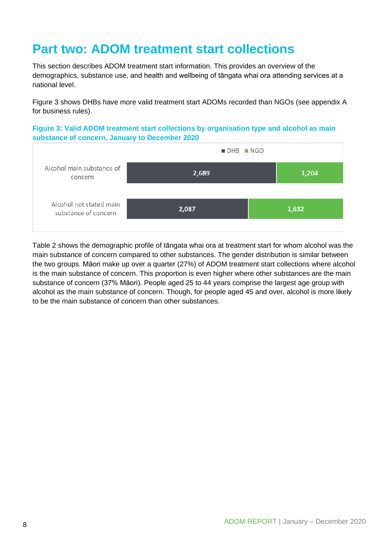## <span id="page-7-0"></span>**Part two: ADOM treatment start collections**

This section describes ADOM treatment start information. This provides an overview of the demographics, substance use, and health and wellbeing of tāngata whai ora attending services at a national level.

Figure 3 shows DHBs have more valid treatment start ADOMs recorded than NGOs (see appendix A for business rules).

**Figure 3: Valid ADOM treatment start collections by organisation type and alcohol as main substance of concern, January to December 2020**



Table 2 shows the demographic profile of tāngata whai ora at treatment start for whom alcohol was the main substance of concern compared to other substances. The gender distribution is similar between the two groups. Māori make up over a quarter (27%) of ADOM treatment start collections where alcohol is the main substance of concern. This proportion is even higher where other substances are the main substance of concern (37% Māori). People aged 25 to 44 years comprise the largest age group with alcohol as the main substance of concern. Though, for people aged 45 and over, alcohol is more likely to be the main substance of concern than other substances.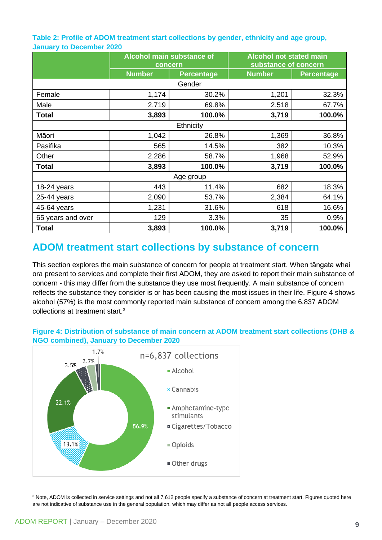**Table 2: Profile of ADOM treatment start collections by gender, ethnicity and age group, January to December 2020**

|                   | <b>Alcohol main substance of</b><br>concern |                   | <b>Alcohol not stated main</b><br>substance of concern |                   |  |  |
|-------------------|---------------------------------------------|-------------------|--------------------------------------------------------|-------------------|--|--|
|                   | <b>Number</b>                               | <b>Percentage</b> | <b>Number</b>                                          | <b>Percentage</b> |  |  |
|                   |                                             | Gender            |                                                        |                   |  |  |
| Female            | 1,174                                       | 30.2%             | 1,201                                                  | 32.3%             |  |  |
| Male              | 2,719                                       | 69.8%             | 2,518                                                  | 67.7%             |  |  |
| <b>Total</b>      | 3,893                                       | 100.0%            | 3,719                                                  | 100.0%            |  |  |
|                   |                                             | Ethnicity         |                                                        |                   |  |  |
| Māori             | 1,042                                       | 26.8%             | 1,369                                                  | 36.8%             |  |  |
| Pasifika          | 565                                         | 14.5%             | 382                                                    | 10.3%             |  |  |
| Other             | 2,286                                       | 58.7%             | 1,968                                                  | 52.9%             |  |  |
| <b>Total</b>      | 3,893                                       | 100.0%            | 3,719                                                  | 100.0%            |  |  |
| Age group         |                                             |                   |                                                        |                   |  |  |
| 18-24 years       | 443                                         | 11.4%             | 682                                                    | 18.3%             |  |  |
| 25-44 years       | 2,090                                       | 53.7%             | 2,384                                                  | 64.1%             |  |  |
| 45-64 years       | 1,231                                       | 31.6%             | 618                                                    | 16.6%             |  |  |
| 65 years and over | 129                                         | 3.3%              | 35                                                     | 0.9%              |  |  |
| <b>Total</b>      | 3,893                                       | 100.0%            | 3,719                                                  | 100.0%            |  |  |

### <span id="page-8-0"></span>**ADOM treatment start collections by substance of concern**

This section explores the main substance of concern for people at treatment start. When tāngata whai ora present to services and complete their first ADOM, they are asked to report their main substance of concern - this may differ from the substance they use most frequently. A main substance of concern reflects the substance they consider is or has been causing the most issues in their life. Figure 4 shows alcohol (57%) is the most commonly reported main substance of concern among the 6,837 ADOM collections at treatment start. 3

#### **Figure 4: Distribution of substance of main concern at ADOM treatment start collections (DHB & NGO combined), January to December 2020**



<sup>&</sup>lt;sup>3</sup> Note, ADOM is collected in service settings and not all 7,612 people specify a substance of concern at treatment start. Figures quoted here are not indicative of substance use in the general population, which may differ as not all people access services.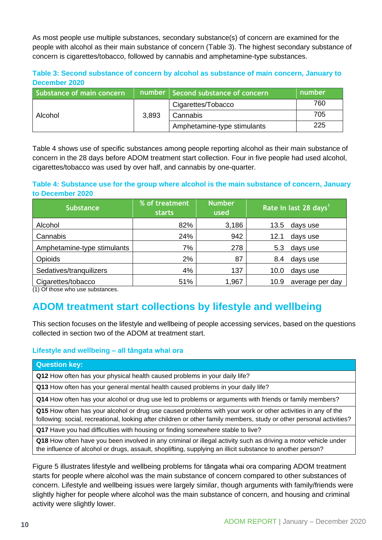As most people use multiple substances, secondary substance(s) of concern are examined for the people with alcohol as their main substance of concern (Table 3). The highest secondary substance of concern is cigarettes/tobacco, followed by cannabis and amphetamine-type substances.

#### **Table 3: Second substance of concern by alcohol as substance of main concern, January to December 2020**

| Substance of main concern |       | number   Second substance of concern | number |
|---------------------------|-------|--------------------------------------|--------|
| Alcohol                   | 3,893 | Cigarettes/Tobacco                   | 760    |
|                           |       | Cannabis                             | 705    |
|                           |       | Amphetamine-type stimulants          | 225    |

Table 4 shows use of specific substances among people reporting alcohol as their main substance of concern in the 28 days before ADOM treatment start collection. Four in five people had used alcohol, cigarettes/tobacco was used by over half, and cannabis by one-quarter.

#### **Table 4: Substance use for the group where alcohol is the main substance of concern, January to December 2020**

| <b>Substance</b>            | % of treatment<br><b>starts</b> | <b>Number</b><br>used | Rate in last 28 days <sup>1</sup> |                 |
|-----------------------------|---------------------------------|-----------------------|-----------------------------------|-----------------|
| Alcohol                     | 82%                             | 3,186                 | 13.5                              | days use        |
| Cannabis                    | 24%                             | 942                   | 12.1                              | days use        |
| Amphetamine-type stimulants | 7%                              | 278                   | 5.3                               | days use        |
| Opioids                     | 2%                              | 87                    | 8.4                               | days use        |
| Sedatives/tranquilizers     | 4%                              | 137                   | 10.0                              | days use        |
| Cigarettes/tobacco          | 51%                             | 1,967                 | 10.9                              | average per day |

<span id="page-9-0"></span>(1) Of those who use substances.

### **ADOM treatment start collections by lifestyle and wellbeing**

This section focuses on the lifestyle and wellbeing of people accessing services, based on the questions collected in section two of the ADOM at treatment start.

#### **Lifestyle and wellbeing – all tāngata whai ora**

#### **Question key:**

**Q12** How often has your physical health caused problems in your daily life?

**Q13** How often has your general mental health caused problems in your daily life?

**Q14** How often has your alcohol or drug use led to problems or arguments with friends or family members?

**Q15** How often has your alcohol or drug use caused problems with your work or other activities in any of the following: social, recreational, looking after children or other family members, study or other personal activities?

**Q17** Have you had difficulties with housing or finding somewhere stable to live?

**Q18** How often have you been involved in any criminal or illegal activity such as driving a motor vehicle under the influence of alcohol or drugs, assault, shoplifting, supplying an illicit substance to another person?

Figure 5 illustrates lifestyle and wellbeing problems for tāngata whai ora comparing ADOM treatment starts for people where alcohol was the main substance of concern compared to other substances of concern. Lifestyle and wellbeing issues were largely similar, though arguments with family/friends were slightly higher for people where alcohol was the main substance of concern, and housing and criminal activity were slightly lower.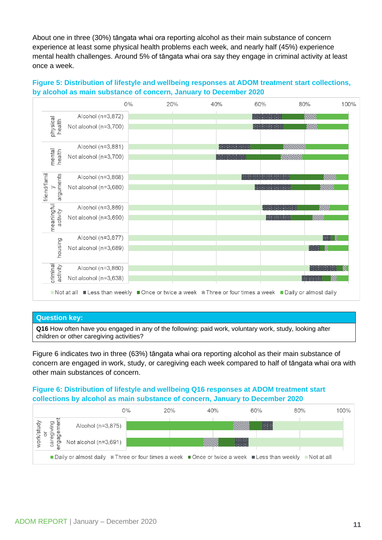About one in three (30%) tāngata whai ora reporting alcohol as their main substance of concern experience at least some physical health problems each week, and nearly half (45%) experience mental health challenges. Around 5% of tāngata whai ora say they engage in criminal activity at least once a week.

#### **Figure 5: Distribution of lifestyle and wellbeing responses at ADOM treatment start collections, by alcohol as main substance of concern, January to December 2020**



#### **Question key:**

**Q16** How often have you engaged in any of the following: paid work, voluntary work, study, looking after children or other caregiving activities?

Figure 6 indicates two in three (63%) tāngata whai ora reporting alcohol as their main substance of concern are engaged in work, study, or caregiving each week compared to half of tāngata whai ora with other main substances of concern.

#### **Figure 6: Distribution of lifestyle and wellbeing Q16 responses at ADOM treatment start collections by alcohol as main substance of concern, January to December 2020**

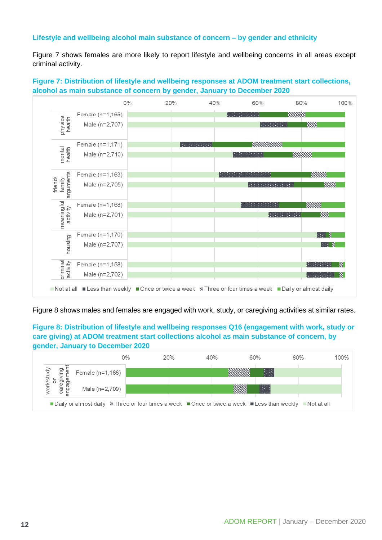#### **Lifestyle and wellbeing alcohol main substance of concern – by gender and ethnicity**

Figure 7 shows females are more likely to report lifestyle and wellbeing concerns in all areas except criminal activity.

#### **Figure 7: Distribution of lifestyle and wellbeing responses at ADOM treatment start collections, alcohol as main substance of concern by gender, January to December 2020**



Figure 8 shows males and females are engaged with work, study, or caregiving activities at similar rates.

**Figure 8: Distribution of lifestyle and wellbeing responses Q16 (engagement with work, study or care giving) at ADOM treatment start collections alcohol as main substance of concern, by gender, January to December 2020**

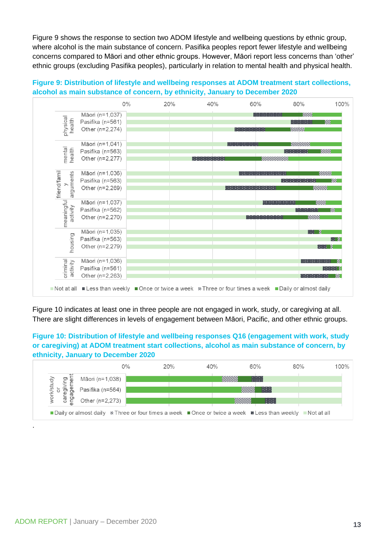Figure 9 shows the response to section two ADOM lifestyle and wellbeing questions by ethnic group, where alcohol is the main substance of concern. Pasifika peoples report fewer lifestyle and wellbeing concerns compared to Māori and other ethnic groups. However, Māori report less concerns than 'other' ethnic groups (excluding Pasifika peoples), particularly in relation to mental health and physical health.

#### **Figure 9: Distribution of lifestyle and wellbeing responses at ADOM treatment start collections, alcohol as main substance of concern, by ethnicity, January to December 2020**



Figure 10 indicates at least one in three people are not engaged in work, study, or caregiving at all. There are slight differences in levels of engagement between Māori, Pacific, and other ethnic groups.

#### **Figure 10: Distribution of lifestyle and wellbeing responses Q16 (engagement with work, study or caregiving) at ADOM treatment start collections, alcohol as main substance of concern, by ethnicity, January to December 2020**



.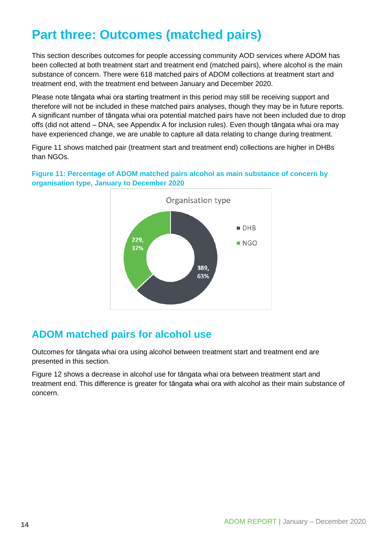## <span id="page-13-0"></span>**Part three: Outcomes (matched pairs)**

This section describes outcomes for people accessing community AOD services where ADOM has been collected at both treatment start and treatment end (matched pairs), where alcohol is the main substance of concern. There were 618 matched pairs of ADOM collections at treatment start and treatment end, with the treatment end between January and December 2020.

Please note tāngata whai ora starting treatment in this period may still be receiving support and therefore will not be included in these matched pairs analyses, though they may be in future reports. A significant number of tāngata whai ora potential matched pairs have not been included due to drop offs (did not attend – DNA, see Appendix A for inclusion rules). Even though tāngata whai ora may have experienced change, we are unable to capture all data relating to change during treatment.

Figure 11 shows matched pair (treatment start and treatment end) collections are higher in DHBs than NGOs.

**Figure 11: Percentage of ADOM matched pairs alcohol as main substance of concern by organisation type, January to December 2020**



### <span id="page-13-1"></span>**ADOM matched pairs for alcohol use**

Outcomes for tāngata whai ora using alcohol between treatment start and treatment end are presented in this section.

Figure 12 shows a decrease in alcohol use for tāngata whai ora between treatment start and treatment end. This difference is greater for tāngata whai ora with alcohol as their main substance of concern.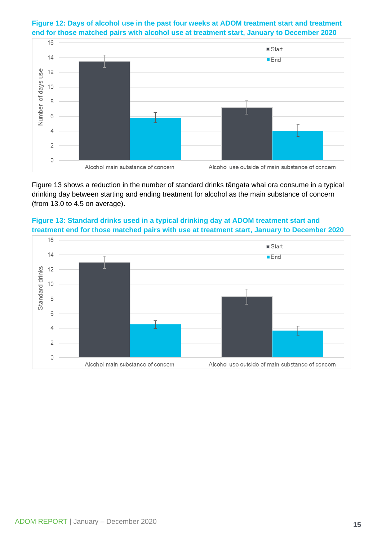**Figure 12: Days of alcohol use in the past four weeks at ADOM treatment start and treatment end for those matched pairs with alcohol use at treatment start, January to December 2020**



Figure 13 shows a reduction in the number of standard drinks tāngata whai ora consume in a typical drinking day between starting and ending treatment for alcohol as the main substance of concern (from 13.0 to 4.5 on average).



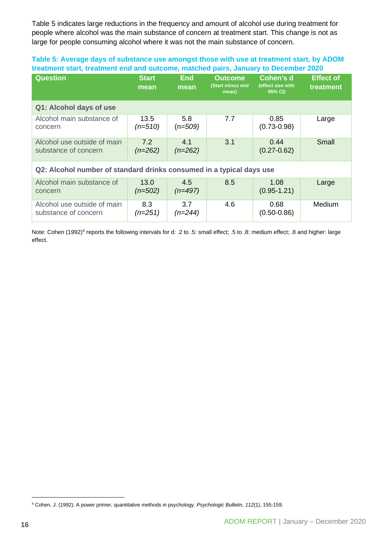Table 5 indicates large reductions in the frequency and amount of alcohol use during treatment for people where alcohol was the main substance of concern at treatment start. This change is not as large for people consuming alcohol where it was not the main substance of concern.

#### **Table 5: Average days of substance use amongst those with use at treatment start, by ADOM treatment start, treatment end and outcome, matched pairs, January to December 2020**

| <b>Question</b>                                                      | <b>Start</b><br>mean | <b>End</b><br>mean | <b>Outcome</b><br>(Start minus end<br>mean) | Cohen's d<br>(effect size with<br>95% CI) | <b>Effect of</b><br>treatment |  |
|----------------------------------------------------------------------|----------------------|--------------------|---------------------------------------------|-------------------------------------------|-------------------------------|--|
| Q1: Alcohol days of use                                              |                      |                    |                                             |                                           |                               |  |
| Alcohol main substance of<br>concern                                 | 13.5<br>$(n=510)$    | 5.8<br>$(n=509)$   | 7.7                                         | 0.85<br>$(0.73 - 0.98)$                   | Large                         |  |
| Alcohol use outside of main<br>substance of concern                  | 7.2<br>$(n=262)$     | 4.1<br>$(n=262)$   | 3.1                                         | 0.44<br>$(0.27 - 0.62)$                   | Small                         |  |
| Q2: Alcohol number of standard drinks consumed in a typical days use |                      |                    |                                             |                                           |                               |  |
| Alcohol main substance of<br>concern                                 | 13.0<br>$(n=502)$    | 4.5<br>$(n=497)$   | 8.5                                         | 1.08<br>$(0.95 - 1.21)$                   | Large                         |  |
| Alcohol use outside of main<br>substance of concern                  | 8.3<br>$(n=251)$     | 3.7<br>$(n=244)$   | 4.6                                         | 0.68<br>$(0.50 - 0.86)$                   | Medium                        |  |

Note: Cohen (1992)<sup>4</sup> reports the following intervals for d: .2 to .5: small effect; .5 to .8: medium effect; .8 and higher: large effect.

<sup>4</sup> Cohen, J. (1992). A power primer, quantitative methods in psychology. *Psychologic Bulletin, 112*(1), 155-159.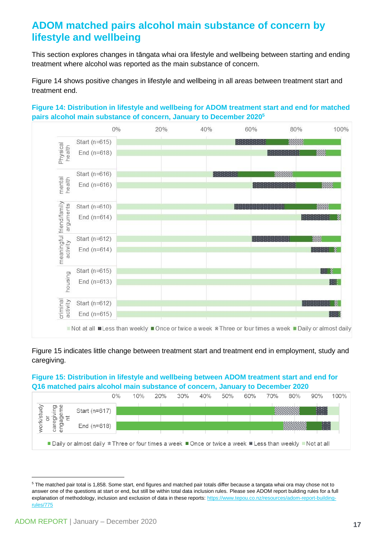### <span id="page-16-0"></span>**ADOM matched pairs alcohol main substance of concern by lifestyle and wellbeing**

This section explores changes in tāngata whai ora lifestyle and wellbeing between starting and ending treatment where alcohol was reported as the main substance of concern.

Figure 14 shows positive changes in lifestyle and wellbeing in all areas between treatment start and treatment end.



**Figure 14: Distribution in lifestyle and wellbeing for ADOM treatment start and end for matched pairs alcohol main substance of concern, January to December 2020<sup>5</sup>**

Figure 15 indicates little change between treatment start and treatment end in employment, study and caregiving.

#### **Figure 15: Distribution in lifestyle and wellbeing between ADOM treatment start and end for Q16 matched pairs alcohol main substance of concern, January to December 2020**



<sup>5</sup> The matched pair total is 1,858. Some start, end figures and matched pair totals differ because a tangata whai ora may chose not to answer one of the questions at start or end, but still be within total data inclusion rules. Please see ADOM report building rules for a full explanation of methodology, inclusion and exclusion of data in these reports[: https://www.tepou.co.nz/resources/adom-report-building](https://www.tepou.co.nz/resources/adom-report-building-rules/775)[rules/775](https://www.tepou.co.nz/resources/adom-report-building-rules/775)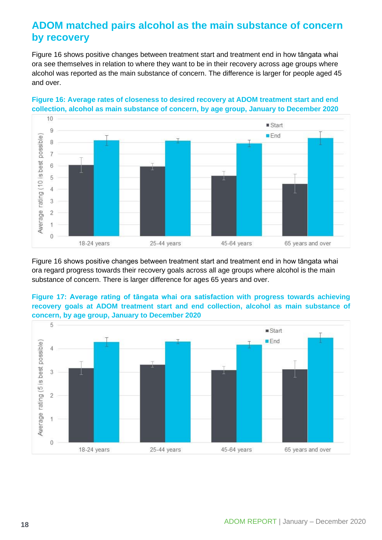### <span id="page-17-0"></span>**ADOM matched pairs alcohol as the main substance of concern by recovery**

Figure 16 shows positive changes between treatment start and treatment end in how tāngata whai ora see themselves in relation to where they want to be in their recovery across age groups where alcohol was reported as the main substance of concern. The difference is larger for people aged 45 and over.



#### **Figure 16: Average rates of closeness to desired recovery at ADOM treatment start and end collection, alcohol as main substance of concern, by age group, January to December 2020**

Figure 16 shows positive changes between treatment start and treatment end in how tāngata whai ora regard progress towards their recovery goals across all age groups where alcohol is the main substance of concern. There is larger difference for ages 65 years and over.

#### **Figure 17: Average rating of tāngata whai ora satisfaction with progress towards achieving recovery goals at ADOM treatment start and end collection, alcohol as main substance of concern, by age group, January to December 2020**

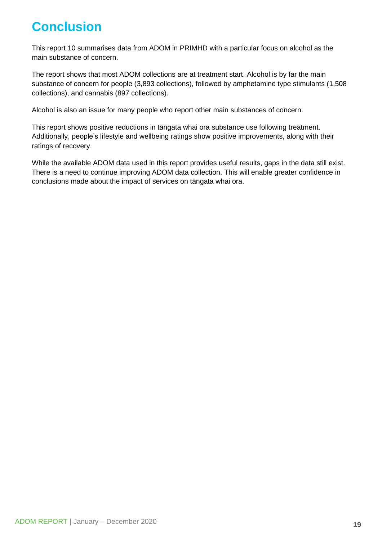## <span id="page-18-0"></span>**Conclusion**

This report 10 summarises data from ADOM in PRIMHD with a particular focus on alcohol as the main substance of concern.

The report shows that most ADOM collections are at treatment start. Alcohol is by far the main substance of concern for people (3,893 collections), followed by amphetamine type stimulants (1,508 collections), and cannabis (897 collections).

Alcohol is also an issue for many people who report other main substances of concern.

This report shows positive reductions in tāngata whai ora substance use following treatment. Additionally, people's lifestyle and wellbeing ratings show positive improvements, along with their ratings of recovery.

While the available ADOM data used in this report provides useful results, gaps in the data still exist. There is a need to continue improving ADOM data collection. This will enable greater confidence in conclusions made about the impact of services on tāngata whai ora.